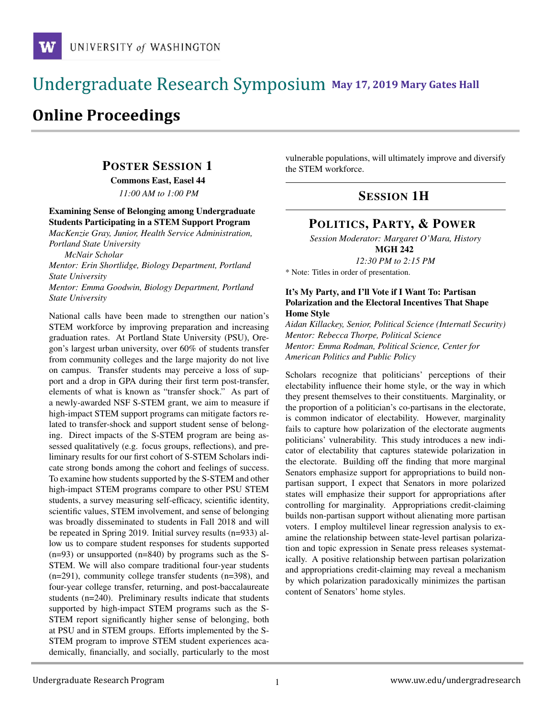## **May 17, 2019 Mary Gates Hall** Ĭ

# **Online Proceedings**

## POSTER SESSION 1

Commons East, Easel 44

*11:00 AM to 1:00 PM*

### Examining Sense of Belonging among Undergraduate Students Participating in a STEM Support Program

*MacKenzie Gray, Junior, Health Service Administration, Portland State University*

*McNair Scholar*

*Mentor: Erin Shortlidge, Biology Department, Portland State University Mentor: Emma Goodwin, Biology Department, Portland*

*State University*

National calls have been made to strengthen our nation's STEM workforce by improving preparation and increasing graduation rates. At Portland State University (PSU), Oregon's largest urban university, over 60% of students transfer from community colleges and the large majority do not live on campus. Transfer students may perceive a loss of support and a drop in GPA during their first term post-transfer, elements of what is known as "transfer shock." As part of a newly-awarded NSF S-STEM grant, we aim to measure if high-impact STEM support programs can mitigate factors related to transfer-shock and support student sense of belonging. Direct impacts of the S-STEM program are being assessed qualitatively (e.g. focus groups, reflections), and preliminary results for our first cohort of S-STEM Scholars indicate strong bonds among the cohort and feelings of success. To examine how students supported by the S-STEM and other high-impact STEM programs compare to other PSU STEM students, a survey measuring self-efficacy, scientific identity, scientific values, STEM involvement, and sense of belonging was broadly disseminated to students in Fall 2018 and will be repeated in Spring 2019. Initial survey results (n=933) allow us to compare student responses for students supported  $(n=93)$  or unsupported  $(n=840)$  by programs such as the S-STEM. We will also compare traditional four-year students (n=291), community college transfer students (n=398), and four-year college transfer, returning, and post-baccalaureate students (n=240). Preliminary results indicate that students supported by high-impact STEM programs such as the S-STEM report significantly higher sense of belonging, both at PSU and in STEM groups. Efforts implemented by the S-STEM program to improve STEM student experiences academically, financially, and socially, particularly to the most vulnerable populations, will ultimately improve and diversify the STEM workforce.

## SESSION 1H

## POLITICS, PARTY, & POWER

*Session Moderator: Margaret O'Mara, History* MGH 242

*12:30 PM to 2:15 PM*

\* Note: Titles in order of presentation.

#### It's My Party, and I'll Vote if I Want To: Partisan Polarization and the Electoral Incentives That Shape Home Style

*Aidan Killackey, Senior, Political Science (Internatl Security) Mentor: Rebecca Thorpe, Political Science Mentor: Emma Rodman, Political Science, Center for American Politics and Public Policy*

Scholars recognize that politicians' perceptions of their electability influence their home style, or the way in which they present themselves to their constituents. Marginality, or the proportion of a politician's co-partisans in the electorate, is common indicator of electability. However, marginality fails to capture how polarization of the electorate augments politicians' vulnerability. This study introduces a new indicator of electability that captures statewide polarization in the electorate. Building off the finding that more marginal Senators emphasize support for appropriations to build nonpartisan support, I expect that Senators in more polarized states will emphasize their support for appropriations after controlling for marginality. Appropriations credit-claiming builds non-partisan support without alienating more partisan voters. I employ multilevel linear regression analysis to examine the relationship between state-level partisan polarization and topic expression in Senate press releases systematically. A positive relationship between partisan polarization and appropriations credit-claiming may reveal a mechanism by which polarization paradoxically minimizes the partisan content of Senators' home styles.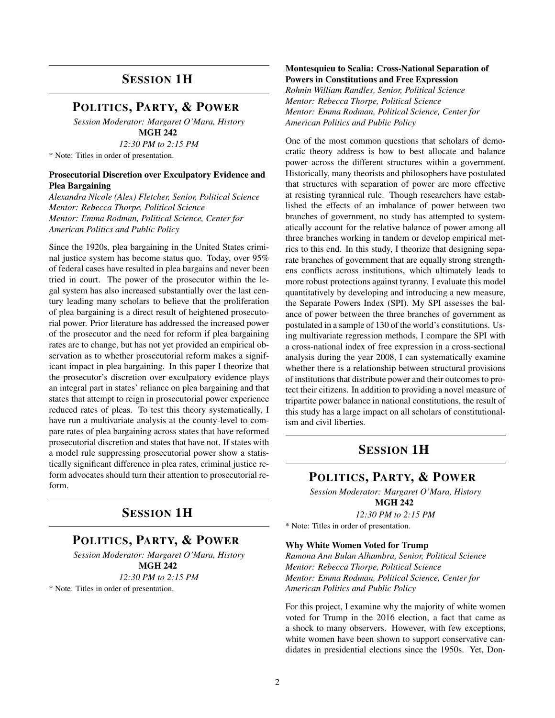### SESSION 1H

### POLITICS, PARTY, & POWER

*Session Moderator: Margaret O'Mara, History* MGH 242

*12:30 PM to 2:15 PM*

\* Note: Titles in order of presentation.

#### Prosecutorial Discretion over Exculpatory Evidence and Plea Bargaining

*Alexandra Nicole (Alex) Fletcher, Senior, Political Science Mentor: Rebecca Thorpe, Political Science Mentor: Emma Rodman, Political Science, Center for American Politics and Public Policy*

Since the 1920s, plea bargaining in the United States criminal justice system has become status quo. Today, over 95% of federal cases have resulted in plea bargains and never been tried in court. The power of the prosecutor within the legal system has also increased substantially over the last century leading many scholars to believe that the proliferation of plea bargaining is a direct result of heightened prosecutorial power. Prior literature has addressed the increased power of the prosecutor and the need for reform if plea bargaining rates are to change, but has not yet provided an empirical observation as to whether prosecutorial reform makes a significant impact in plea bargaining. In this paper I theorize that the prosecutor's discretion over exculpatory evidence plays an integral part in states' reliance on plea bargaining and that states that attempt to reign in prosecutorial power experience reduced rates of pleas. To test this theory systematically, I have run a multivariate analysis at the county-level to compare rates of plea bargaining across states that have reformed prosecutorial discretion and states that have not. If states with a model rule suppressing prosecutorial power show a statistically significant difference in plea rates, criminal justice reform advocates should turn their attention to prosecutorial reform.

### SESSION 1H

### POLITICS, PARTY, & POWER

*Session Moderator: Margaret O'Mara, History* MGH 242 *12:30 PM to 2:15 PM* \* Note: Titles in order of presentation.

#### Montesquieu to Scalia: Cross-National Separation of Powers in Constitutions and Free Expression

*Rohnin William Randles, Senior, Political Science Mentor: Rebecca Thorpe, Political Science Mentor: Emma Rodman, Political Science, Center for American Politics and Public Policy*

One of the most common questions that scholars of democratic theory address is how to best allocate and balance power across the different structures within a government. Historically, many theorists and philosophers have postulated that structures with separation of power are more effective at resisting tyrannical rule. Though researchers have established the effects of an imbalance of power between two branches of government, no study has attempted to systematically account for the relative balance of power among all three branches working in tandem or develop empirical metrics to this end. In this study, I theorize that designing separate branches of government that are equally strong strengthens conflicts across institutions, which ultimately leads to more robust protections against tyranny. I evaluate this model quantitatively by developing and introducing a new measure, the Separate Powers Index (SPI). My SPI assesses the balance of power between the three branches of government as postulated in a sample of 130 of the world's constitutions. Using multivariate regression methods, I compare the SPI with a cross-national index of free expression in a cross-sectional analysis during the year 2008, I can systematically examine whether there is a relationship between structural provisions of institutions that distribute power and their outcomes to protect their citizens. In addition to providing a novel measure of tripartite power balance in national constitutions, the result of this study has a large impact on all scholars of constitutionalism and civil liberties.

### SESSION 1H

#### POLITICS, PARTY, & POWER

*Session Moderator: Margaret O'Mara, History* MGH 242 *12:30 PM to 2:15 PM*

\* Note: Titles in order of presentation.

#### Why White Women Voted for Trump

*Ramona Ann Bulan Alhambra, Senior, Political Science Mentor: Rebecca Thorpe, Political Science Mentor: Emma Rodman, Political Science, Center for American Politics and Public Policy*

For this project, I examine why the majority of white women voted for Trump in the 2016 election, a fact that came as a shock to many observers. However, with few exceptions, white women have been shown to support conservative candidates in presidential elections since the 1950s. Yet, Don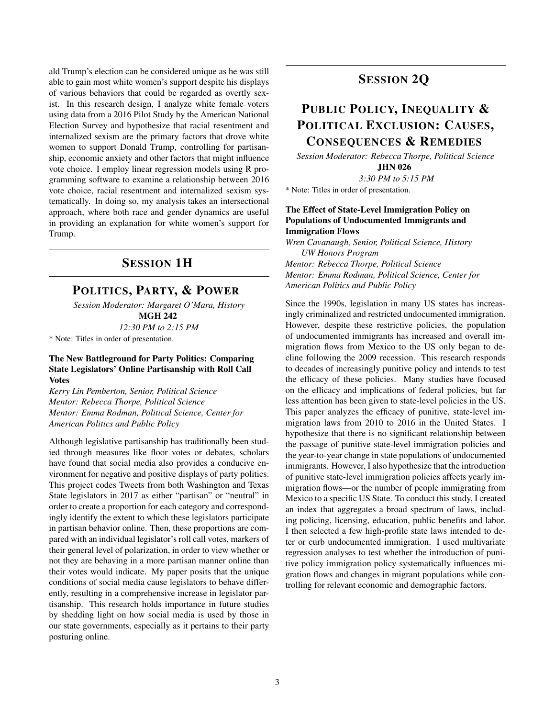ald Trump's election can be considered unique as he was still able to gain most white women's support despite his displays of various behaviors that could be regarded as overtly sexist. In this research design, I analyze white female voters using data from a 2016 Pilot Study by the American National Election Survey and hypothesize that racial resentment and internalized sexism are the primary factors that drove white women to support Donald Trump, controlling for partisanship, economic anxiety and other factors that might influence vote choice. I employ linear regression models using R programming software to examine a relationship between 2016 vote choice, racial resentment and internalized sexism systematically. In doing so, my analysis takes an intersectional approach, where both race and gender dynamics are useful in providing an explanation for white women's support for Trump.

### SESSION 1H

### POLITICS, PARTY, & POWER

*Session Moderator: Margaret O'Mara, History* MGH 242

*12:30 PM to 2:15 PM*

\* Note: Titles in order of presentation.

#### The New Battleground for Party Politics: Comparing State Legislators' Online Partisanship with Roll Call Votes

*Kerry Lin Pemberton, Senior, Political Science Mentor: Rebecca Thorpe, Political Science Mentor: Emma Rodman, Political Science, Center for American Politics and Public Policy*

Although legislative partisanship has traditionally been studied through measures like floor votes or debates, scholars have found that social media also provides a conducive environment for negative and positive displays of party politics. This project codes Tweets from both Washington and Texas State legislators in 2017 as either "partisan" or "neutral" in order to create a proportion for each category and correspondingly identify the extent to which these legislators participate in partisan behavior online. Then, these proportions are compared with an individual legislator's roll call votes, markers of their general level of polarization, in order to view whether or not they are behaving in a more partisan manner online than their votes would indicate. My paper posits that the unique conditions of social media cause legislators to behave differently, resulting in a comprehensive increase in legislator partisanship. This research holds importance in future studies by shedding light on how social media is used by those in our state governments, especially as it pertains to their party posturing online.

## SESSION 2Q

## PUBLIC POLICY, INEQUALITY & POLITICAL EXCLUSION: CAUSES, CONSEQUENCES & REMEDIES

*Session Moderator: Rebecca Thorpe, Political Science* JHN 026

*3:30 PM to 5:15 PM*

\* Note: Titles in order of presentation.

#### The Effect of State-Level Immigration Policy on Populations of Undocumented Immigrants and Immigration Flows

*Wren Cavanaugh, Senior, Political Science, History UW Honors Program Mentor: Rebecca Thorpe, Political Science*

*Mentor: Emma Rodman, Political Science, Center for American Politics and Public Policy*

Since the 1990s, legislation in many US states has increasingly criminalized and restricted undocumented immigration. However, despite these restrictive policies, the population of undocumented immigrants has increased and overall immigration flows from Mexico to the US only began to decline following the 2009 recession. This research responds to decades of increasingly punitive policy and intends to test the efficacy of these policies. Many studies have focused on the efficacy and implications of federal policies, but far less attention has been given to state-level policies in the US. This paper analyzes the efficacy of punitive, state-level immigration laws from 2010 to 2016 in the United States. I hypothesize that there is no significant relationship between the passage of punitive state-level immigration policies and the year-to-year change in state populations of undocumented immigrants. However, I also hypothesize that the introduction of punitive state-level immigration policies affects yearly immigration flows—or the number of people immigrating from Mexico to a specific US State. To conduct this study, I created an index that aggregates a broad spectrum of laws, including policing, licensing, education, public benefits and labor. I then selected a few high-profile state laws intended to deter or curb undocumented immigration. I used multivariate regression analyses to test whether the introduction of punitive policy immigration policy systematically influences migration flows and changes in migrant populations while controlling for relevant economic and demographic factors.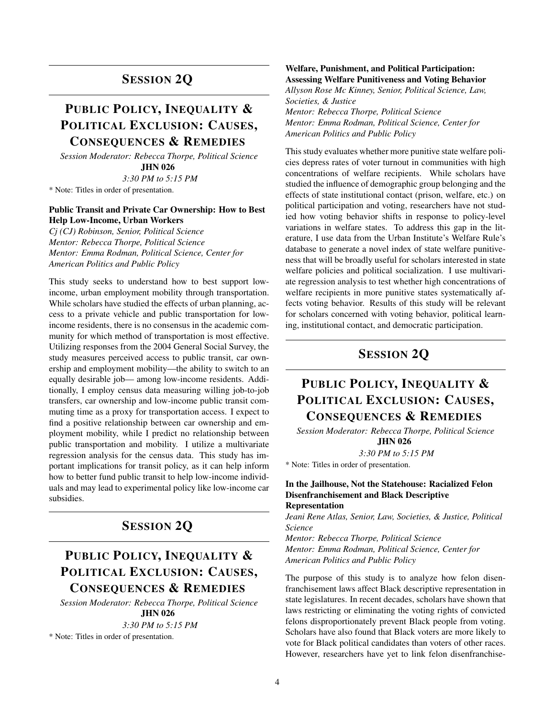### SESSION 2Q

## PUBLIC POLICY, INEQUALITY & POLITICAL EXCLUSION: CAUSES, CONSEQUENCES & REMEDIES

*Session Moderator: Rebecca Thorpe, Political Science* JHN 026

*3:30 PM to 5:15 PM*

\* Note: Titles in order of presentation.

#### Public Transit and Private Car Ownership: How to Best Help Low-Income, Urban Workers

*Cj (CJ) Robinson, Senior, Political Science Mentor: Rebecca Thorpe, Political Science Mentor: Emma Rodman, Political Science, Center for American Politics and Public Policy*

This study seeks to understand how to best support lowincome, urban employment mobility through transportation. While scholars have studied the effects of urban planning, access to a private vehicle and public transportation for lowincome residents, there is no consensus in the academic community for which method of transportation is most effective. Utilizing responses from the 2004 General Social Survey, the study measures perceived access to public transit, car ownership and employment mobility—the ability to switch to an equally desirable job— among low-income residents. Additionally, I employ census data measuring willing job-to-job transfers, car ownership and low-income public transit commuting time as a proxy for transportation access. I expect to find a positive relationship between car ownership and employment mobility, while I predict no relationship between public transportation and mobility. I utilize a multivariate regression analysis for the census data. This study has important implications for transit policy, as it can help inform how to better fund public transit to help low-income individuals and may lead to experimental policy like low-income car subsidies.

## SESSION 2Q

## PUBLIC POLICY, INEQUALITY & POLITICAL EXCLUSION: CAUSES, CONSEQUENCES & REMEDIES

*Session Moderator: Rebecca Thorpe, Political Science* JHN 026

*3:30 PM to 5:15 PM*

\* Note: Titles in order of presentation.

#### Welfare, Punishment, and Political Participation: Assessing Welfare Punitiveness and Voting Behavior

*Allyson Rose Mc Kinney, Senior, Political Science, Law, Societies, & Justice Mentor: Rebecca Thorpe, Political Science Mentor: Emma Rodman, Political Science, Center for*

*American Politics and Public Policy*

This study evaluates whether more punitive state welfare policies depress rates of voter turnout in communities with high concentrations of welfare recipients. While scholars have studied the influence of demographic group belonging and the effects of state institutional contact (prison, welfare, etc.) on political participation and voting, researchers have not studied how voting behavior shifts in response to policy-level variations in welfare states. To address this gap in the literature, I use data from the Urban Institute's Welfare Rule's database to generate a novel index of state welfare punitiveness that will be broadly useful for scholars interested in state welfare policies and political socialization. I use multivariate regression analysis to test whether high concentrations of welfare recipients in more punitive states systematically affects voting behavior. Results of this study will be relevant for scholars concerned with voting behavior, political learning, institutional contact, and democratic participation.

### SESSION 2Q

## PUBLIC POLICY, INEQUALITY & POLITICAL EXCLUSION: CAUSES, CONSEQUENCES & REMEDIES

*Session Moderator: Rebecca Thorpe, Political Science* JHN 026

*3:30 PM to 5:15 PM*

\* Note: Titles in order of presentation.

#### In the Jailhouse, Not the Statehouse: Racialized Felon Disenfranchisement and Black Descriptive Representation

*Jeani Rene Atlas, Senior, Law, Societies, & Justice, Political Science*

*Mentor: Rebecca Thorpe, Political Science Mentor: Emma Rodman, Political Science, Center for American Politics and Public Policy*

The purpose of this study is to analyze how felon disenfranchisement laws affect Black descriptive representation in state legislatures. In recent decades, scholars have shown that laws restricting or eliminating the voting rights of convicted felons disproportionately prevent Black people from voting. Scholars have also found that Black voters are more likely to vote for Black political candidates than voters of other races. However, researchers have yet to link felon disenfranchise-